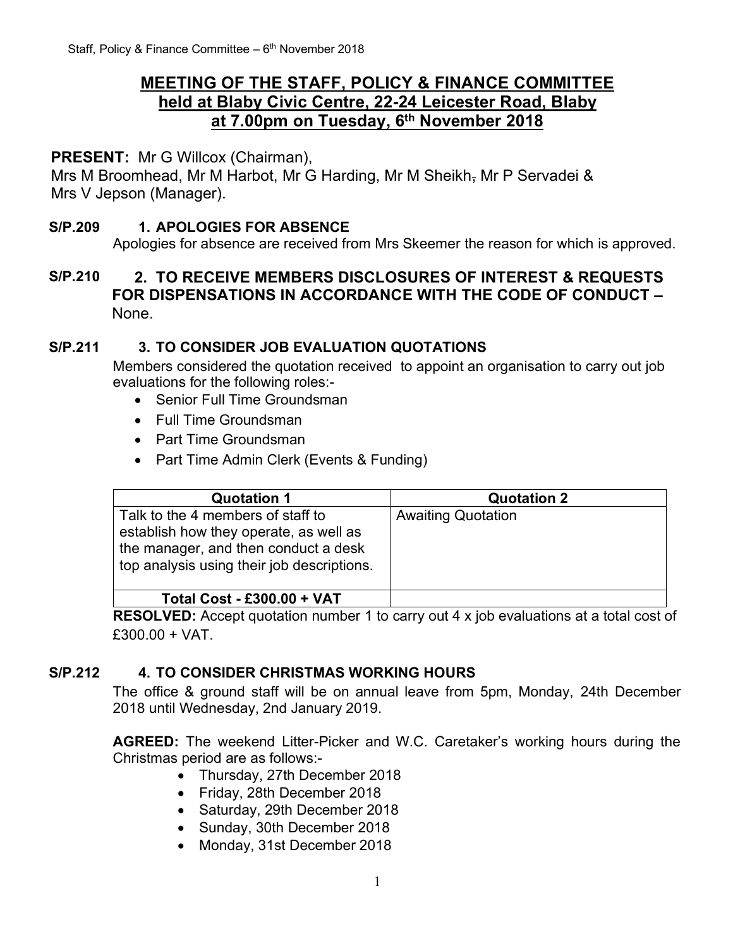# **MEETING OF THE STAFF, POLICY & FINANCE COMMITTEE held at Blaby Civic Centre, 22-24 Leicester Road, Blaby at 7.00pm on Tuesday, 6 th November 2018**

## **PRESENT:** Mr G Willcox (Chairman),

Mrs M Broomhead, Mr M Harbot, Mr G Harding, Mr M Sheikh, Mr P Servadei & Mrs V Jepson (Manager).

#### **S/P.209 1. APOLOGIES FOR ABSENCE**

Apologies for absence are received from Mrs Skeemer the reason for which is approved.

## **S/P.210 2. TO RECEIVE MEMBERS DISCLOSURES OF INTEREST & REQUESTS FOR DISPENSATIONS IN ACCORDANCE WITH THE CODE OF CONDUCT –** None.

#### **S/P.211 3. TO CONSIDER JOB EVALUATION QUOTATIONS**

Members considered the quotation received to appoint an organisation to carry out job evaluations for the following roles:-

- Senior Full Time Groundsman
- Full Time Groundsman
- Part Time Groundsman
- Part Time Admin Clerk (Events & Funding)

| <b>Quotation 1</b>                                                                                                                                                | <b>Quotation 2</b>        |  |
|-------------------------------------------------------------------------------------------------------------------------------------------------------------------|---------------------------|--|
| Talk to the 4 members of staff to<br>establish how they operate, as well as<br>the manager, and then conduct a desk<br>top analysis using their job descriptions. | <b>Awaiting Quotation</b> |  |
| <b>Total Cost - £300.00 + VAT</b>                                                                                                                                 |                           |  |

**RESOLVED:** Accept quotation number 1 to carry out 4 x job evaluations at a total cost of £300.00 + VAT.

### **S/P.212 4. TO CONSIDER CHRISTMAS WORKING HOURS**

The office & ground staff will be on annual leave from 5pm, Monday, 24th December 2018 until Wednesday, 2nd January 2019.

**AGREED:** The weekend Litter-Picker and W.C. Caretaker's working hours during the Christmas period are as follows:-

- Thursday, 27th December 2018
- Friday, 28th December 2018
- Saturday, 29th December 2018
- Sunday, 30th December 2018
- Monday, 31st December 2018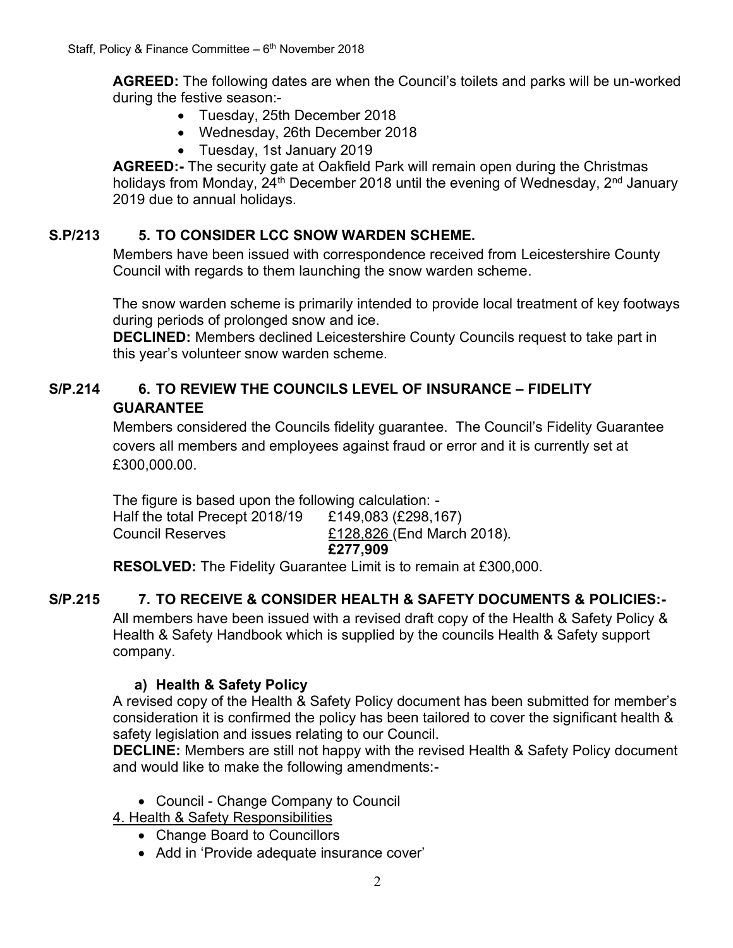**AGREED:** The following dates are when the Council's toilets and parks will be un-worked during the festive season:-

- Tuesday, 25th December 2018
- Wednesday, 26th December 2018
- Tuesday, 1st January 2019

**AGREED:-** The security gate at Oakfield Park will remain open during the Christmas holidays from Monday, 24<sup>th</sup> December 2018 until the evening of Wednesday, 2<sup>nd</sup> January 2019 due to annual holidays.

# **S.P/213 5. TO CONSIDER LCC SNOW WARDEN SCHEME.**

Members have been issued with correspondence received from Leicestershire County Council with regards to them launching the snow warden scheme.

The snow warden scheme is primarily intended to provide local treatment of key footways during periods of prolonged snow and ice.

**DECLINED:** Members declined Leicestershire County Councils request to take part in this year's volunteer snow warden scheme.

# **S/P.214 6. TO REVIEW THE COUNCILS LEVEL OF INSURANCE – FIDELITY GUARANTEE**

Members considered the Councils fidelity guarantee. The Council's Fidelity Guarantee covers all members and employees against fraud or error and it is currently set at £300.000.00.

The figure is based upon the following calculation: - Half the total Precept 2018/19 £149,083 (£298,167) Council Reserves £128,826 (End March 2018). **£277,909** 

**RESOLVED:** The Fidelity Guarantee Limit is to remain at £300,000.

# **S/P.215 7. TO RECEIVE & CONSIDER HEALTH & SAFETY DOCUMENTS & POLICIES:-**

All members have been issued with a revised draft copy of the Health & Safety Policy & Health & Safety Handbook which is supplied by the councils Health & Safety support company.

# **a) Health & Safety Policy**

A revised copy of the Health & Safety Policy document has been submitted for member's consideration it is confirmed the policy has been tailored to cover the significant health & safety legislation and issues relating to our Council.

**DECLINE:** Members are still not happy with the revised Health & Safety Policy document and would like to make the following amendments:-

• Council - Change Company to Council

4. Health & Safety Responsibilities

- Change Board to Councillors
- Add in 'Provide adequate insurance cover'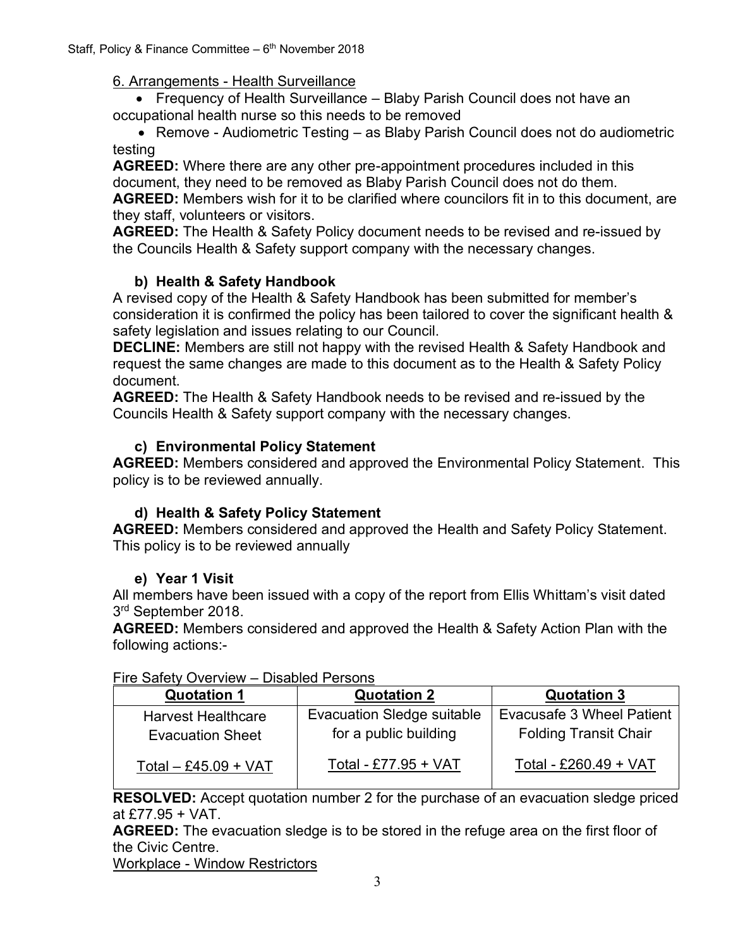### 6. Arrangements - Health Surveillance

• Frequency of Health Surveillance – Blaby Parish Council does not have an occupational health nurse so this needs to be removed

• Remove - Audiometric Testing – as Blaby Parish Council does not do audiometric testing

**AGREED:** Where there are any other pre-appointment procedures included in this document, they need to be removed as Blaby Parish Council does not do them. **AGREED:** Members wish for it to be clarified where councilors fit in to this document, are they staff, volunteers or visitors.

**AGREED:** The Health & Safety Policy document needs to be revised and re-issued by the Councils Health & Safety support company with the necessary changes.

# **b) Health & Safety Handbook**

A revised copy of the Health & Safety Handbook has been submitted for member's consideration it is confirmed the policy has been tailored to cover the significant health & safety legislation and issues relating to our Council.

**DECLINE:** Members are still not happy with the revised Health & Safety Handbook and request the same changes are made to this document as to the Health & Safety Policy document.

**AGREED:** The Health & Safety Handbook needs to be revised and re-issued by the Councils Health & Safety support company with the necessary changes.

# **c) Environmental Policy Statement**

**AGREED:** Members considered and approved the Environmental Policy Statement. This policy is to be reviewed annually.

# **d) Health & Safety Policy Statement**

**AGREED:** Members considered and approved the Health and Safety Policy Statement. This policy is to be reviewed annually

# **e) Year 1 Visit**

All members have been issued with a copy of the report from Ellis Whittam's visit dated 3<sup>rd</sup> September 2018.

**AGREED:** Members considered and approved the Health & Safety Action Plan with the following actions:-

| <b>Quotation 1</b>                                   | <b>Quotation 2</b>                                  | <b>Quotation 3</b>                                        |  |
|------------------------------------------------------|-----------------------------------------------------|-----------------------------------------------------------|--|
| <b>Harvest Healthcare</b><br><b>Evacuation Sheet</b> | Evacuation Sledge suitable<br>for a public building | Evacusafe 3 Wheel Patient<br><b>Folding Transit Chair</b> |  |
| Total $-$ £45.09 + VAT                               | Total - £77.95 + VAT                                | Total - £260.49 + VAT                                     |  |

#### Fire Safety Overview – Disabled Persons

**RESOLVED:** Accept quotation number 2 for the purchase of an evacuation sledge priced at £77.95 + VAT.

**AGREED:** The evacuation sledge is to be stored in the refuge area on the first floor of the Civic Centre.

Workplace - Window Restrictors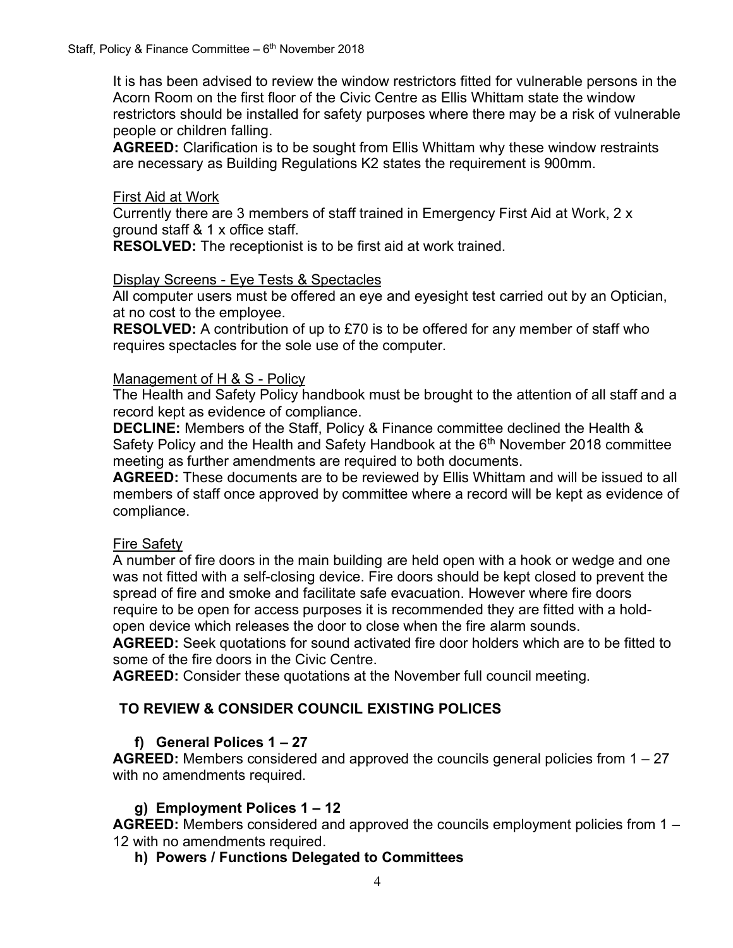It is has been advised to review the window restrictors fitted for vulnerable persons in the Acorn Room on the first floor of the Civic Centre as Ellis Whittam state the window restrictors should be installed for safety purposes where there may be a risk of vulnerable people or children falling.

**AGREED:** Clarification is to be sought from Ellis Whittam why these window restraints are necessary as Building Regulations K2 states the requirement is 900mm.

#### First Aid at Work

Currently there are 3 members of staff trained in Emergency First Aid at Work, 2 x ground staff & 1 x office staff.

**RESOLVED:** The receptionist is to be first aid at work trained.

#### Display Screens - Eye Tests & Spectacles

All computer users must be offered an eye and eyesight test carried out by an Optician, at no cost to the employee.

**RESOLVED:** A contribution of up to £70 is to be offered for any member of staff who requires spectacles for the sole use of the computer.

#### Management of H & S - Policy

The Health and Safety Policy handbook must be brought to the attention of all staff and a record kept as evidence of compliance.

**DECLINE:** Members of the Staff, Policy & Finance committee declined the Health & Safety Policy and the Health and Safety Handbook at the  $6<sup>th</sup>$  November 2018 committee meeting as further amendments are required to both documents.

**AGREED:** These documents are to be reviewed by Ellis Whittam and will be issued to all members of staff once approved by committee where a record will be kept as evidence of compliance.

#### Fire Safety

A number of fire doors in the main building are held open with a hook or wedge and one was not fitted with a self-closing device. Fire doors should be kept closed to prevent the spread of fire and smoke and facilitate safe evacuation. However where fire doors require to be open for access purposes it is recommended they are fitted with a holdopen device which releases the door to close when the fire alarm sounds.

**AGREED:** Seek quotations for sound activated fire door holders which are to be fitted to some of the fire doors in the Civic Centre.

**AGREED:** Consider these quotations at the November full council meeting.

#### **TO REVIEW & CONSIDER COUNCIL EXISTING POLICES**

#### **f) General Polices 1 – 27**

**AGREED:** Members considered and approved the councils general policies from 1 – 27 with no amendments required.

#### **g) Employment Polices 1 – 12**

**AGREED:** Members considered and approved the councils employment policies from 1 – 12 with no amendments required.

#### **h) Powers / Functions Delegated to Committees**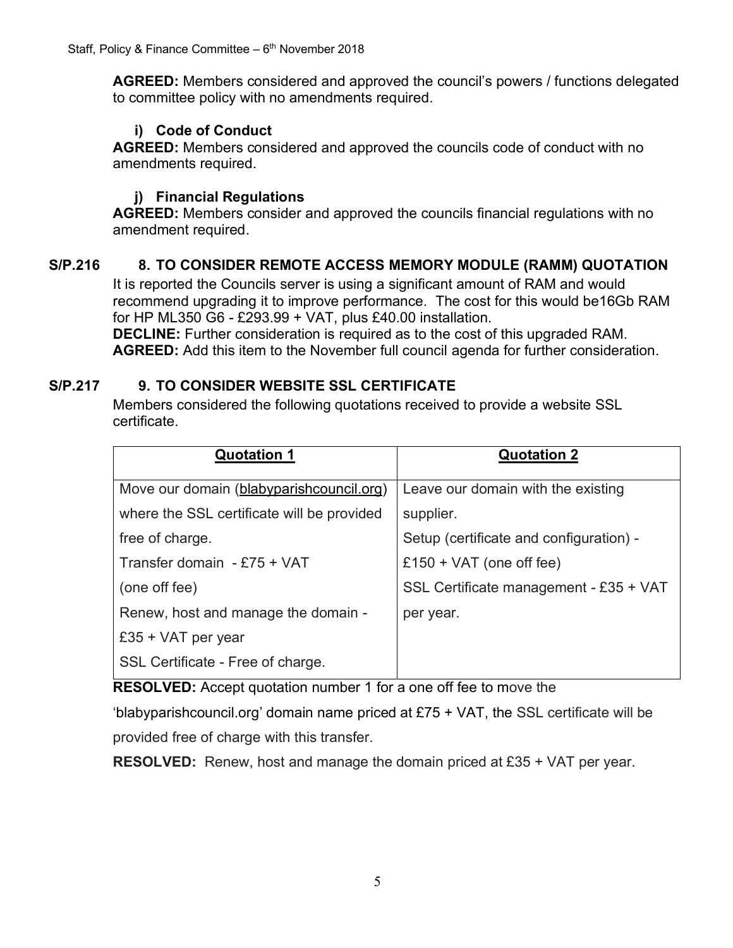**AGREED:** Members considered and approved the council's powers / functions delegated to committee policy with no amendments required.

# **i) Code of Conduct**

**AGREED:** Members considered and approved the councils code of conduct with no amendments required.

# **j) Financial Regulations**

**AGREED:** Members consider and approved the councils financial regulations with no amendment required.

# **S/P.216 8. TO CONSIDER REMOTE ACCESS MEMORY MODULE (RAMM) QUOTATION**

It is reported the Councils server is using a significant amount of RAM and would recommend upgrading it to improve performance. The cost for this would be16Gb RAM for HP ML350 G6 - £293.99 + VAT, plus £40.00 installation.

**DECLINE:** Further consideration is required as to the cost of this upgraded RAM. **AGREED:** Add this item to the November full council agenda for further consideration.

# **S/P.217 9. TO CONSIDER WEBSITE SSL CERTIFICATE**

Members considered the following quotations received to provide a website SSL certificate.

| <b>Quotation 1</b>                         | <b>Quotation 2</b>                      |
|--------------------------------------------|-----------------------------------------|
| Move our domain (blabyparish council org)  | Leave our domain with the existing      |
| where the SSL certificate will be provided | supplier.                               |
| free of charge.                            | Setup (certificate and configuration) - |
| Transfer domain - £75 + VAT                | £150 + $VAT$ (one off fee)              |
| (one off fee)                              | SSL Certificate management - £35 + VAT  |
| Renew, host and manage the domain -        | per year.                               |
| £35 + VAT per year                         |                                         |
| SSL Certificate - Free of charge.          |                                         |

**RESOLVED:** Accept quotation number 1 for a one off fee to move the

'[blabyparishcouncil.org](http://www.blabyparishcouncil.org/)' domain name priced at £75 + VAT, the SSL certificate will be provided free of charge with this transfer.

**RESOLVED:** Renew, host and manage the domain priced at £35 + VAT per year.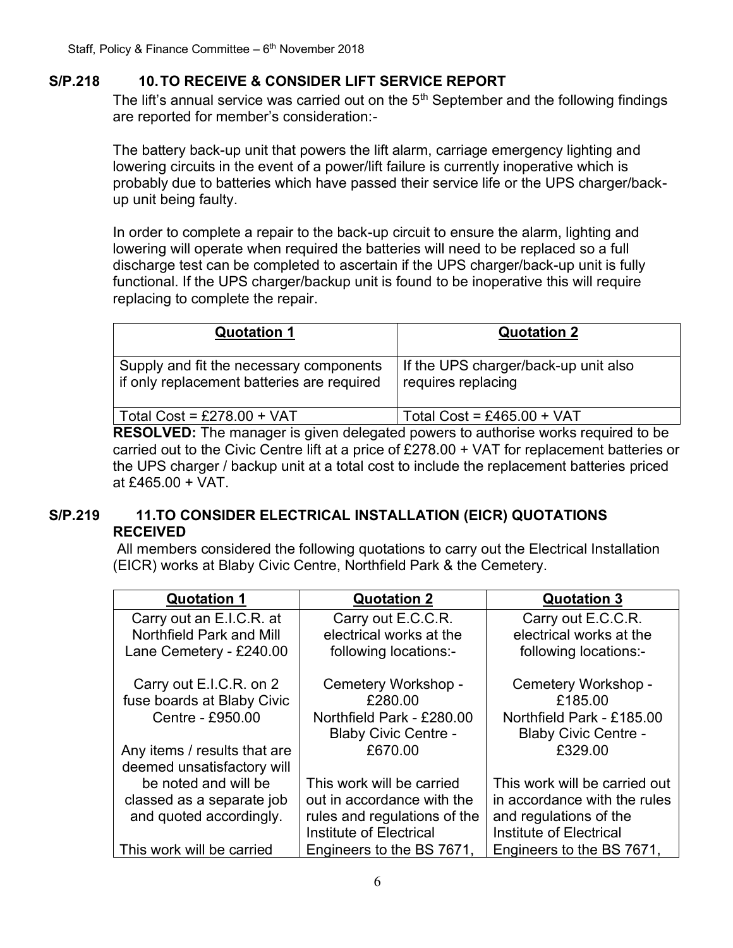### **S/P.218 10.TO RECEIVE & CONSIDER LIFT SERVICE REPORT**

The lift's annual service was carried out on the  $5<sup>th</sup>$  September and the following findings are reported for member's consideration:-

The battery back-up unit that powers the lift alarm, carriage emergency lighting and lowering circuits in the event of a power/lift failure is currently inoperative which is probably due to batteries which have passed their service life or the UPS charger/backup unit being faulty.

In order to complete a repair to the back-up circuit to ensure the alarm, lighting and lowering will operate when required the batteries will need to be replaced so a full discharge test can be completed to ascertain if the UPS charger/back-up unit is fully functional. If the UPS charger/backup unit is found to be inoperative this will require replacing to complete the repair.

| <b>Quotation 1</b>                                                                    | <b>Quotation 2</b>                                                                                                                                                                                                                   |
|---------------------------------------------------------------------------------------|--------------------------------------------------------------------------------------------------------------------------------------------------------------------------------------------------------------------------------------|
| Supply and fit the necessary components<br>if only replacement batteries are required | If the UPS charger/back-up unit also<br>requires replacing                                                                                                                                                                           |
| Total Cost = $£278.00 + VAT$                                                          | Total Cost = £465.00 + VAT                                                                                                                                                                                                           |
|                                                                                       | $\blacksquare$ . The contract of the contract of the contract of the contract of the contract of the contract of the contract of the contract of the contract of the contract of the contract of the contract of the contract of the |

**RESOLVED:** The manager is given delegated powers to authorise works required to be carried out to the Civic Centre lift at a price of £278.00 + VAT for replacement batteries or the UPS charger / backup unit at a total cost to include the replacement batteries priced at £465.00 + VAT.

### **S/P.219 11.TO CONSIDER ELECTRICAL INSTALLATION (EICR) QUOTATIONS RECEIVED**

All members considered the following quotations to carry out the Electrical Installation (EICR) works at Blaby Civic Centre, Northfield Park & the Cemetery.

| <b>Quotation 1</b>              | <b>Quotation 2</b>           | <b>Quotation 3</b>            |
|---------------------------------|------------------------------|-------------------------------|
| Carry out an E.I.C.R. at        | Carry out E.C.C.R.           | Carry out E.C.C.R.            |
| <b>Northfield Park and Mill</b> | electrical works at the      | electrical works at the       |
| Lane Cemetery - £240.00         | following locations:-        | following locations:-         |
| Carry out E.I.C.R. on 2         | Cemetery Workshop -          | Cemetery Workshop -           |
| fuse boards at Blaby Civic      | £280.00                      | £185.00                       |
| Centre - £950.00                | Northfield Park - £280.00    | Northfield Park - £185.00     |
|                                 | <b>Blaby Civic Centre -</b>  | <b>Blaby Civic Centre -</b>   |
| Any items / results that are    | £670.00                      | £329.00                       |
| deemed unsatisfactory will      |                              |                               |
| be noted and will be            | This work will be carried    | This work will be carried out |
| classed as a separate job       | out in accordance with the   | in accordance with the rules  |
| and quoted accordingly.         | rules and regulations of the | and regulations of the        |
|                                 | Institute of Electrical      | Institute of Electrical       |
| This work will be carried       | Engineers to the BS 7671,    | Engineers to the BS 7671,     |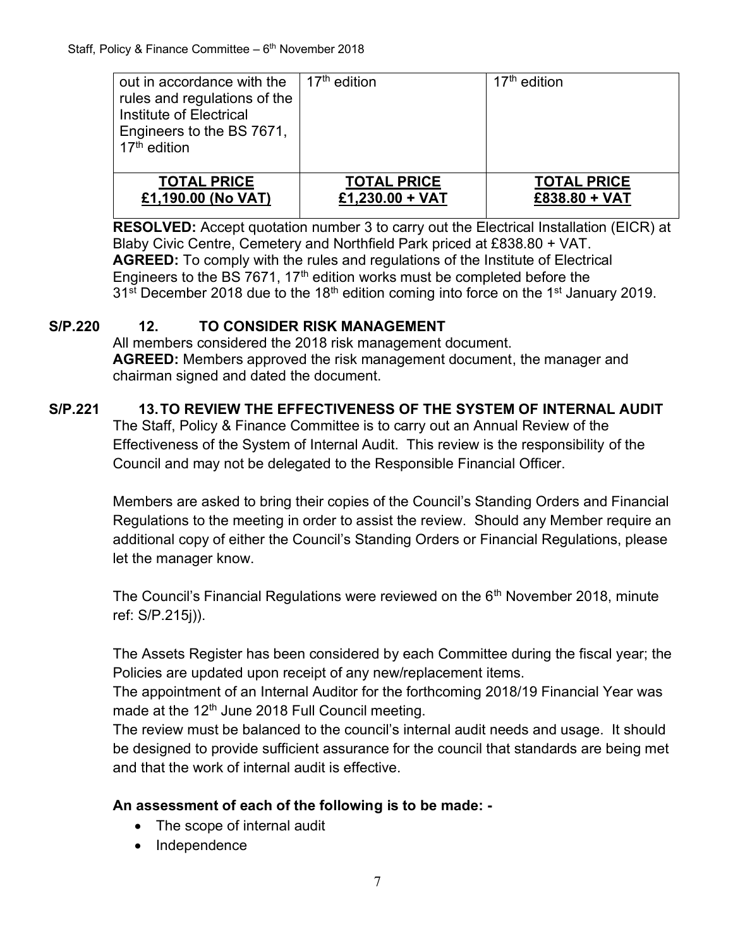| out in accordance with the<br>rules and regulations of the<br>Institute of Electrical<br>Engineers to the BS 7671,<br>17 <sup>th</sup> edition | 17 <sup>th</sup> edition | $17th$ edition     |
|------------------------------------------------------------------------------------------------------------------------------------------------|--------------------------|--------------------|
| <b>TOTAL PRICE</b>                                                                                                                             | <b>TOTAL PRICE</b>       | <b>TOTAL PRICE</b> |
| £1,190.00 (No VAT)                                                                                                                             | £1,230.00 + VAT          | £838.80 + VAT      |

**RESOLVED:** Accept quotation number 3 to carry out the Electrical Installation (EICR) at Blaby Civic Centre, Cemetery and Northfield Park priced at £838.80 + VAT. **AGREED:** To comply with the rules and regulations of the Institute of Electrical Engineers to the BS 7671, 17<sup>th</sup> edition works must be completed before the  $31<sup>st</sup>$  December 2018 due to the 18<sup>th</sup> edition coming into force on the 1<sup>st</sup> January 2019.

## **S/P.220 12. TO CONSIDER RISK MANAGEMENT**

All members considered the 2018 risk management document. **AGREED:** Members approved the risk management document, the manager and chairman signed and dated the document.

# **S/P.221 13.TO REVIEW THE EFFECTIVENESS OF THE SYSTEM OF INTERNAL AUDIT**

The Staff, Policy & Finance Committee is to carry out an Annual Review of the Effectiveness of the System of Internal Audit. This review is the responsibility of the Council and may not be delegated to the Responsible Financial Officer.

Members are asked to bring their copies of the Council's Standing Orders and Financial Regulations to the meeting in order to assist the review. Should any Member require an additional copy of either the Council's Standing Orders or Financial Regulations, please let the manager know.

The Council's Financial Regulations were reviewed on the  $6<sup>th</sup>$  November 2018, minute ref: S/P.215j)).

The Assets Register has been considered by each Committee during the fiscal year; the Policies are updated upon receipt of any new/replacement items.

The appointment of an Internal Auditor for the forthcoming 2018/19 Financial Year was made at the  $12<sup>th</sup>$  June 2018 Full Council meeting.

The review must be balanced to the council's internal audit needs and usage. It should be designed to provide sufficient assurance for the council that standards are being met and that the work of internal audit is effective.

### **An assessment of each of the following is to be made: -**

- The scope of internal audit
- Independence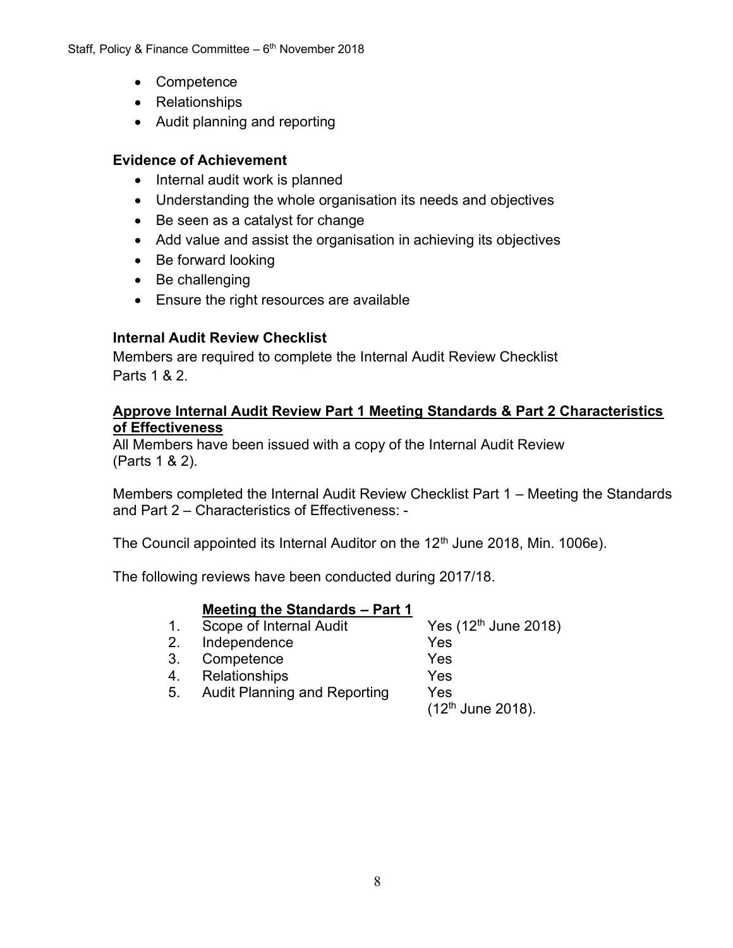- Competence
- Relationships
- Audit planning and reporting

### **Evidence of Achievement**

- Internal audit work is planned
- Understanding the whole organisation its needs and objectives
- Be seen as a catalyst for change
- Add value and assist the organisation in achieving its objectives
- Be forward looking
- Be challenging
- Ensure the right resources are available

# **Internal Audit Review Checklist**

Members are required to complete the Internal Audit Review Checklist Parts 1 & 2.

#### **Approve Internal Audit Review Part 1 Meeting Standards & Part 2 Characteristics of Effectiveness**

All Members have been issued with a copy of the Internal Audit Review (Parts 1 & 2).

Members completed the Internal Audit Review Checklist Part 1 – Meeting the Standards and Part 2 – Characteristics of Effectiveness: -

The Council appointed its Internal Auditor on the  $12<sup>th</sup>$  June 2018, Min. 1006e).

The following reviews have been conducted during 2017/18.

# **Meeting the Standards – Part 1**

1. Scope of Internal Audit Yes  $(12<sup>th</sup>$  June 2018) 2. Independence Yes 3. Competence Yes 4. Relationships Yes 5. Audit Planning and Reporting Yes  $(12^{th}$  June 2018).